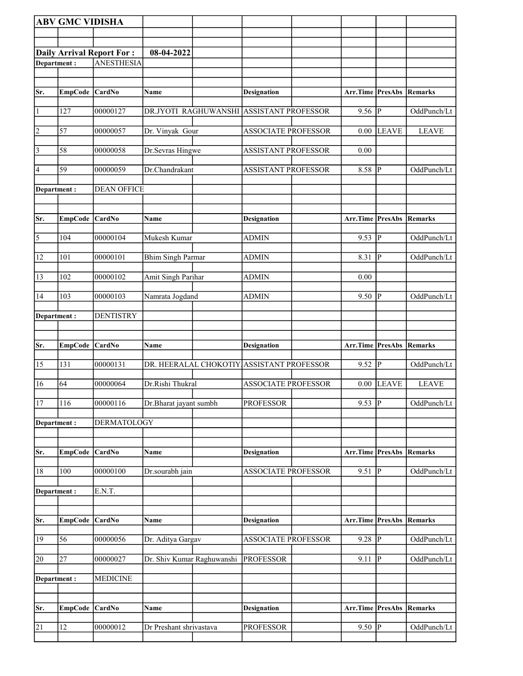|                | <b>ABV GMC VIDISHA</b> |                                  |                            |                                           |                  |                  |                |
|----------------|------------------------|----------------------------------|----------------------------|-------------------------------------------|------------------|------------------|----------------|
|                |                        |                                  |                            |                                           |                  |                  |                |
|                |                        | <b>Daily Arrival Report For:</b> | 08-04-2022                 |                                           |                  |                  |                |
| Department:    |                        | <b>ANESTHESIA</b>                |                            |                                           |                  |                  |                |
|                |                        |                                  |                            |                                           |                  |                  |                |
| Sr.            | <b>EmpCode</b>         | <b>CardNo</b>                    | Name                       | <b>Designation</b>                        | Arr.Time PresAbs |                  | Remarks        |
| $\vert$ 1      | 127                    | 00000127                         |                            | DR.JYOTI RAGHUWANSHI ASSISTANT PROFESSOR  | 9.56             | P                | OddPunch/Lt    |
| $\overline{2}$ | 57                     | 00000057                         | Dr. Vinyak Gour            | <b>ASSOCIATE PROFESSOR</b>                | 0.00             | <b>LEAVE</b>     | <b>LEAVE</b>   |
| $\vert$ 3      | 58                     | 00000058                         | Dr.Sevras Hingwe           | <b>ASSISTANT PROFESSOR</b>                | 0.00             |                  |                |
| 4              | 59                     | 00000059                         | Dr.Chandrakant             | <b>ASSISTANT PROFESSOR</b>                | 8.58             | P                | OddPunch/Lt    |
| Department :   |                        | <b>DEAN OFFICE</b>               |                            |                                           |                  |                  |                |
| Sr.            | <b>EmpCode</b>         | CardNo                           | Name                       | <b>Designation</b>                        | Arr.Time PresAbs |                  | Remarks        |
| $\overline{5}$ | 104                    | 00000104                         | Mukesh Kumar               | <b>ADMIN</b>                              | $9.53$ P         |                  | OddPunch/Lt    |
| 12             | 101                    | 00000101                         | <b>Bhim Singh Parmar</b>   | <b>ADMIN</b>                              | 8.31             | lР               | OddPunch/Lt    |
| 13             | 102                    | 00000102                         | Amit Singh Parihar         | ADMIN                                     | 0.00             |                  |                |
| 14             | 103                    | 00000103                         | Namrata Jogdand            | <b>ADMIN</b>                              | 9.50             | <sup> p</sup>    | OddPunch/Lt    |
| Department :   |                        | <b>DENTISTRY</b>                 |                            |                                           |                  |                  |                |
|                |                        |                                  |                            |                                           |                  |                  |                |
| Sr.            | <b>EmpCode</b>         | CardNo                           | Name                       | <b>Designation</b>                        | Arr.Time PresAbs |                  | Remarks        |
| 15             | 131                    | 00000131                         |                            | DR. HEERALAL CHOKOTIY ASSISTANT PROFESSOR | 9.52             | P                | OddPunch/Lt    |
| 16             | 64                     | 00000064                         | Dr.Rishi Thukral           | <b>ASSOCIATE PROFESSOR</b>                | 0.00             | <b>LEAVE</b>     | <b>LEAVE</b>   |
| <sup>17</sup>  | 116                    | 00000116                         | Dr.Bharat jayant sumbh     | <b>PROFESSOR</b>                          | $9.53$ P         |                  | OddPunch/Lt    |
| Department:    |                        | DERMATOLOGY                      |                            |                                           |                  |                  |                |
| Sr.            | <b>EmpCode</b>         | CardNo                           | Name                       | <b>Designation</b>                        | Arr.Time         | PresAbs          | <b>Remarks</b> |
| 18             | 100                    | 00000100                         | Dr.sourabh jain            | <b>ASSOCIATE PROFESSOR</b>                | 9.51             | ₽                | OddPunch/Lt    |
| Department:    |                        | E.N.T.                           |                            |                                           |                  |                  |                |
|                |                        |                                  |                            |                                           |                  |                  |                |
| Sr.            |                        |                                  |                            | <b>Designation</b>                        |                  | Arr.Time PresAbs | <b>Remarks</b> |
|                | <b>EmpCode</b>         | <b>CardNo</b>                    | Name                       |                                           |                  |                  |                |
| 19             | 56                     | 00000056                         | Dr. Aditya Gargav          | ASSOCIATE PROFESSOR                       | $9.28$ P         |                  | OddPunch/Lt    |
| 20             | 27                     | 00000027                         | Dr. Shiv Kumar Raghuwanshi | <b>PROFESSOR</b>                          | 9.11             | P                | OddPunch/Lt    |
| Department:    |                        | <b>MEDICINE</b>                  |                            |                                           |                  |                  |                |
|                |                        |                                  |                            |                                           |                  |                  |                |
| Sr.            | <b>EmpCode</b>         | CardNo                           | Name                       | <b>Designation</b>                        | Arr.Time PresAbs |                  | Remarks        |
| 21             | 12                     | 00000012                         | Dr Preshant shrivastava    | <b>PROFESSOR</b>                          | $9.50$ P         |                  | OddPunch/Lt    |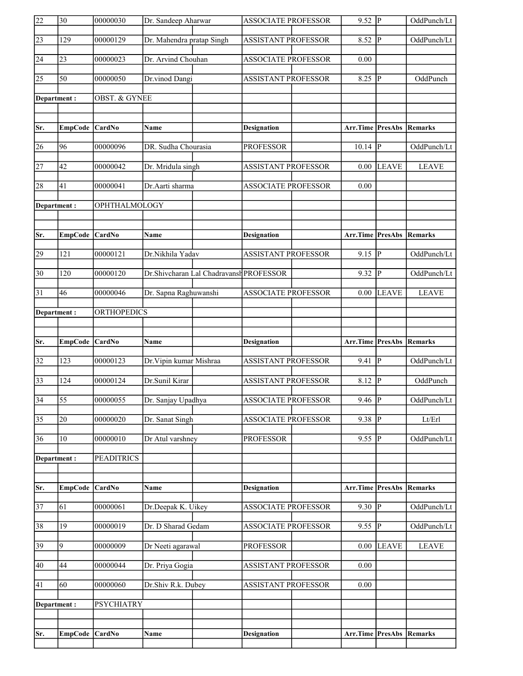| 22              | 30              | 00000030                 | Dr. Sandeep Aharwar                      | <b>ASSOCIATE PROFESSOR</b> | $9.52 \overline{P}$ |                | OddPunch/Lt    |
|-----------------|-----------------|--------------------------|------------------------------------------|----------------------------|---------------------|----------------|----------------|
| $\overline{23}$ | 129             | 00000129                 | Dr. Mahendra pratap Singh                | <b>ASSISTANT PROFESSOR</b> | 8.52                | $\overline{P}$ | OddPunch/Lt    |
| 24              | 23              | 00000023                 | Dr. Arvind Chouhan                       | <b>ASSOCIATE PROFESSOR</b> | 0.00                |                |                |
| $\overline{25}$ | 50              | 00000050                 | Dr.vinod Dangi                           | <b>ASSISTANT PROFESSOR</b> | $8.25$ P            |                | OddPunch       |
| Department:     |                 | <b>OBST. &amp; GYNEE</b> |                                          |                            |                     |                |                |
|                 |                 |                          |                                          |                            |                     |                |                |
| Sr.             | <b>EmpCode</b>  | <b>CardNo</b>            | <b>Name</b>                              | <b>Designation</b>         | Arr.Time PresAbs    |                | Remarks        |
| 26              | 96              | 00000096                 | DR. Sudha Chourasia                      | <b>PROFESSOR</b>           | $10.14$ P           |                | OddPunch/Lt    |
| $\overline{27}$ | 42              | 00000042                 | Dr. Mridula singh                        | ASSISTANT PROFESSOR        | 0.00                | <b>LEAVE</b>   | <b>LEAVE</b>   |
| 28              | 41              | 00000041                 | Dr.Aarti sharma                          | <b>ASSOCIATE PROFESSOR</b> | 0.00                |                |                |
| Department:     |                 | OPHTHALMOLOGY            |                                          |                            |                     |                |                |
|                 |                 |                          |                                          |                            |                     |                |                |
| Sr.             | <b>EmpCode</b>  | <b>CardNo</b>            | Name                                     | <b>Designation</b>         | Arr.Time PresAbs    |                | Remarks        |
| 29              | 121             | 00000121                 | Dr.Nikhila Yadav                         | <b>ASSISTANT PROFESSOR</b> | $9.15 \overline{P}$ |                | OddPunch/Lt    |
| $\overline{30}$ | 120             | 00000120                 | Dr. Shivcharan Lal Chadravansh PROFESSOR |                            | $9.32$ P            |                | OddPunch/Lt    |
| 31              | 46              | 00000046                 | Dr. Sapna Raghuwanshi                    | <b>ASSOCIATE PROFESSOR</b> | 0.00                | <b>LEAVE</b>   | <b>LEAVE</b>   |
| Department:     |                 | <b>ORTHOPEDICS</b>       |                                          |                            |                     |                |                |
|                 |                 |                          |                                          |                            |                     |                |                |
|                 |                 |                          |                                          |                            |                     |                |                |
| Sr.             | <b>EmpCode</b>  | CardNo                   | Name                                     | <b>Designation</b>         | Arr.Time PresAbs    |                | <b>Remarks</b> |
| $\overline{32}$ | 123             | 00000123                 | Dr. Vipin kumar Mishraa                  | <b>ASSISTANT PROFESSOR</b> | 9.41                | lР             | OddPunch/Lt    |
| $\overline{33}$ | 124             | 00000124                 | Dr.Sunil Kirar                           | <b>ASSISTANT PROFESSOR</b> | 8.12 $\boxed{P}$    |                | OddPunch       |
| $\overline{34}$ | $\overline{55}$ | 00000055                 | Dr. Sanjay Upadhya                       | <b>ASSOCIATE PROFESSOR</b> | $9.46$ P            |                | OddPunch/Lt    |
| $\overline{35}$ | 20              | 00000020                 | Dr. Sanat Singh                          | <b>ASSOCIATE PROFESSOR</b> | $9.38$ P            |                | Lt/Erl         |
| 36              | 10              | 00000010                 | Dr Atul varshney                         | <b>PROFESSOR</b>           | 9.55  P             |                | OddPunch/Lt    |
| Department:     |                 | <b>PEADITRICS</b>        |                                          |                            |                     |                |                |
|                 |                 |                          |                                          |                            |                     |                |                |
| Sr.             | <b>EmpCode</b>  | CardNo                   | Name                                     | <b>Designation</b>         | Arr.Time            | PresAbs        | <b>Remarks</b> |
| $\overline{37}$ | 61              | 00000061                 | Dr.Deepak K. Uikey                       | <b>ASSOCIATE PROFESSOR</b> | $9.30$ P            |                | OddPunch/Lt    |
| 38              | 19              | 00000019                 | Dr. D Sharad Gedam                       | <b>ASSOCIATE PROFESSOR</b> | $9.55$ P            |                | OddPunch/Lt    |
| 39              | 9               | 00000009                 | Dr Neeti agarawal                        | <b>PROFESSOR</b>           | 0.00                | <b>LEAVE</b>   | <b>LEAVE</b>   |
| 40              | 44              | 00000044                 | Dr. Priya Gogia                          | <b>ASSISTANT PROFESSOR</b> | 0.00                |                |                |
| 41              | 60              | 00000060                 | Dr.Shiv R.k. Dubey                       | ASSISTANT PROFESSOR        | 0.00                |                |                |
| Department :    |                 | <b>PSYCHIATRY</b>        |                                          |                            |                     |                |                |
|                 |                 |                          |                                          |                            |                     |                |                |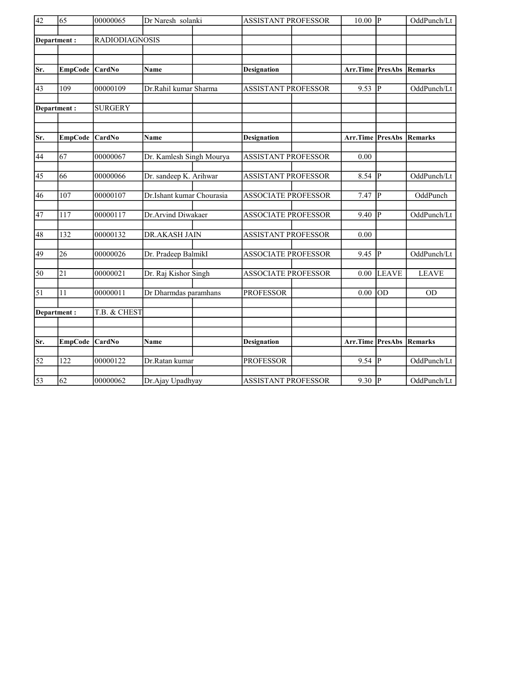| $\overline{42}$ | 65              | 00000065              | Dr Naresh solanki<br><b>ASSISTANT PROFESSOR</b> |  | $10.00$ P                  |  | OddPunch/Lt         |              |                |
|-----------------|-----------------|-----------------------|-------------------------------------------------|--|----------------------------|--|---------------------|--------------|----------------|
|                 | Department:     | <b>RADIODIAGNOSIS</b> |                                                 |  |                            |  |                     |              |                |
|                 |                 |                       |                                                 |  |                            |  |                     |              |                |
| Sr.             | <b>EmpCode</b>  | <b>CardNo</b>         | Name                                            |  | <b>Designation</b>         |  | Arr.Time PresAbs    |              | Remarks        |
| 43              | 109             | 00000109              | Dr.Rahil kumar Sharma                           |  | <b>ASSISTANT PROFESSOR</b> |  | $9.53 \overline{P}$ |              | OddPunch/Lt    |
|                 | Department:     | <b>SURGERY</b>        |                                                 |  |                            |  |                     |              |                |
| Sr.             | <b>EmpCode</b>  | <b>CardNo</b>         | Name                                            |  | <b>Designation</b>         |  | Arr.Time PresAbs    |              | Remarks        |
| 44              | 67              | 00000067              | Dr. Kamlesh Singh Mourya                        |  | <b>ASSISTANT PROFESSOR</b> |  | 0.00                |              |                |
| 45              | 66              | 00000066              | Dr. sandeep K. Arihwar                          |  | <b>ASSISTANT PROFESSOR</b> |  | $8.54$ P            |              | OddPunch/Lt    |
| 46              | 107             | 00000107              | Dr.Ishant kumar Chourasia                       |  | <b>ASSOCIATE PROFESSOR</b> |  | 7.47                | $ {\bf P} $  | OddPunch       |
| 47              | 117             | 00000117              | Dr.Arvind Diwakaer                              |  | <b>ASSOCIATE PROFESSOR</b> |  | 9.40                | P            | OddPunch/Lt    |
| 48              | 132             | 00000132              | DR.AKASH JAIN                                   |  | <b>ASSISTANT PROFESSOR</b> |  | 0.00                |              |                |
| 49              | 26              | 00000026              | Dr. Pradeep BalmikI                             |  | <b>ASSOCIATE PROFESSOR</b> |  | 9.45  P             |              | OddPunch/Lt    |
| 50              | $\overline{21}$ | 00000021              | Dr. Raj Kishor Singh                            |  | <b>ASSOCIATE PROFESSOR</b> |  | 0.00                | <b>LEAVE</b> | <b>LEAVE</b>   |
| 51              | 11              | 00000011              | Dr Dharmdas paramhans                           |  | <b>PROFESSOR</b>           |  | 0.00                | <b>OD</b>    | <b>OD</b>      |
|                 | Department:     | T.B. & CHEST          |                                                 |  |                            |  |                     |              |                |
| Sr.             | <b>EmpCode</b>  | CardNo                | Name                                            |  | <b>Designation</b>         |  | Arr.Time PresAbs    |              | <b>Remarks</b> |
|                 |                 |                       |                                                 |  |                            |  |                     |              |                |
| $\overline{52}$ | 122             | 00000122              | Dr.Ratan kumar                                  |  | <b>PROFESSOR</b>           |  | $9.54$ P            |              | OddPunch/Lt    |
| $\overline{53}$ | 62              | 00000062              | Dr.Ajay Upadhyay                                |  | <b>ASSISTANT PROFESSOR</b> |  | $9.30$ P            |              | OddPunch/Lt    |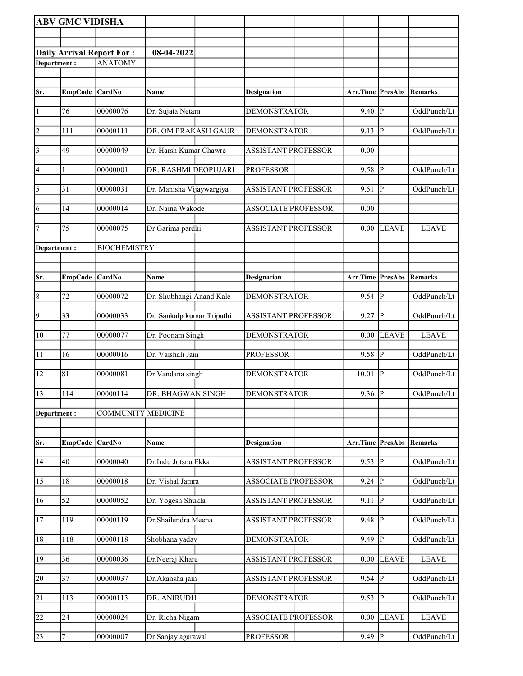|                         | <b>ABV GMC VIDISHA</b> |                                  |                            |                            |          |                        |              |
|-------------------------|------------------------|----------------------------------|----------------------------|----------------------------|----------|------------------------|--------------|
|                         |                        |                                  |                            |                            |          |                        |              |
|                         |                        | <b>Daily Arrival Report For:</b> | 08-04-2022                 |                            |          |                        |              |
| Department:             |                        | <b>ANATOMY</b>                   |                            |                            |          |                        |              |
|                         |                        |                                  |                            |                            |          |                        |              |
| Sr.                     | EmpCode CardNo         |                                  | Name                       | <b>Designation</b>         | Arr.Time | PresAbs                | Remarks      |
|                         |                        |                                  |                            |                            |          |                        |              |
| $\vert$ 1               | 76                     | 00000076                         | Dr. Sujata Netam           | <b>DEMONSTRATOR</b>        | 9.40     | P                      | OddPunch/Lt  |
| $\overline{2}$          | 111                    | 00000111                         | DR. OM PRAKASH GAUR        | <b>DEMONSTRATOR</b>        | 9.13     | P                      | OddPunch/Lt  |
| $\overline{\mathbf{3}}$ | 49                     | 00000049                         | Dr. Harsh Kumar Chawre     | <b>ASSISTANT PROFESSOR</b> | 0.00     |                        |              |
| $\vert 4 \vert$         | 1                      | 00000001                         | DR. RASHMI DEOPUJARI       | <b>PROFESSOR</b>           | 9.58     | $\mathbf{P}$           | OddPunch/Lt  |
| $\overline{5}$          | 31                     | 00000031                         | Dr. Manisha Vijaywargiya   | <b>ASSISTANT PROFESSOR</b> | 9.51     | $\mathbf{P}$           | OddPunch/Lt  |
| 6                       | 14                     | 00000014                         | Dr. Naina Wakode           | <b>ASSOCIATE PROFESSOR</b> | 0.00     |                        |              |
| 7                       | 75                     | 00000075                         | Dr Garima pardhi           | <b>ASSISTANT PROFESSOR</b> | 0.00     | <b>LEAVE</b>           | <b>LEAVE</b> |
| Department:             |                        | <b>BIOCHEMISTRY</b>              |                            |                            |          |                        |              |
|                         |                        |                                  |                            |                            |          |                        |              |
| Sr.                     |                        | <b>CardNo</b>                    | <b>Name</b>                |                            | Arr.Time | <b>PresAbs</b>         | Remarks      |
|                         | <b>EmpCode</b>         |                                  |                            | <b>Designation</b>         |          |                        |              |
| $\vert 8$               | 72                     | 00000072                         | Dr. Shubhangi Anand Kale   | <b>DEMONSTRATOR</b>        | 9.54     | lр                     | OddPunch/Lt  |
| $\overline{9}$          | 33                     | 00000033                         | Dr. Sankalp kumar Tripathi | <b>ASSISTANT PROFESSOR</b> | 9.27     | P                      | OddPunch/Lt  |
| $ 10\rangle$            | 77                     | 00000077                         | Dr. Poonam Singh           | <b>DEMONSTRATOR</b>        | 0.00     | <b>LEAVE</b>           | <b>LEAVE</b> |
| 11                      | 16                     | 00000016                         | Dr. Vaishali Jain          | <b>PROFESSOR</b>           | 9.58     | $\mathbf{P}$           | OddPunch/Lt  |
| 12                      | 81                     | 00000081                         | Dr Vandana singh           | <b>DEMONSTRATOR</b>        | 10.01    | P                      | OddPunch/Lt  |
| 13                      | 114                    | 00000114                         | DR. BHAGWAN SINGH          | <b>DEMONSTRATOR</b>        | $9.36$ P |                        | OddPunch/Lt  |
| Department:             |                        | <b>COMMUNITY MEDICINE</b>        |                            |                            |          |                        |              |
|                         |                        |                                  |                            |                            |          |                        |              |
| Sr.                     | <b>EmpCode</b>         | CardNo                           | Name                       | <b>Designation</b>         | Arr.Time | <b>PresAbs Remarks</b> |              |
| 14                      | 40                     | 00000040                         | Dr.Indu Jotsna Ekka        | <b>ASSISTANT PROFESSOR</b> | 9.53     | ${\bf P}$              | OddPunch/Lt  |
| 15                      | 18                     | 00000018                         | Dr. Vishal Jamra           | <b>ASSOCIATE PROFESSOR</b> | 9.24     | ${\bf P}$              | OddPunch/Lt  |
| 16                      | 52                     | 00000052                         | Dr. Yogesh Shukla          | <b>ASSISTANT PROFESSOR</b> | 9.11     | P                      | OddPunch/Lt  |
| 17                      | 119                    | 00000119                         | Dr.Shailendra Meena        | <b>ASSISTANT PROFESSOR</b> | 9.48     | P                      | OddPunch/Lt  |
| 18                      | 118                    | 00000118                         | Shobhana yadav             | <b>DEMONSTRATOR</b>        | 9.49     | $\mathbf{P}$           | OddPunch/Lt  |
| 19                      | 36                     | 00000036                         | Dr.Neeraj Khare            | <b>ASSISTANT PROFESSOR</b> | 0.00     | <b>LEAVE</b>           | <b>LEAVE</b> |
| 20                      | $\overline{37}$        | 00000037                         | Dr. Akansha jain           | <b>ASSISTANT PROFESSOR</b> | 9.54     | $\overline{P}$         | OddPunch/Lt  |
|                         |                        |                                  |                            |                            |          |                        |              |
| 21                      | 113                    | 00000113                         | DR. ANIRUDH                | <b>DEMONSTRATOR</b>        | 9.53     | $\mathbf{P}$           | OddPunch/Lt  |
| 22                      | 24                     | 00000024                         | Dr. Richa Nigam            | <b>ASSOCIATE PROFESSOR</b> | 0.00     | <b>LEAVE</b>           | <b>LEAVE</b> |
| 23                      | $\overline{7}$         | 00000007                         | Dr Sanjay agarawal         | <b>PROFESSOR</b>           | 9.49     | $\overline{P}$         | OddPunch/Lt  |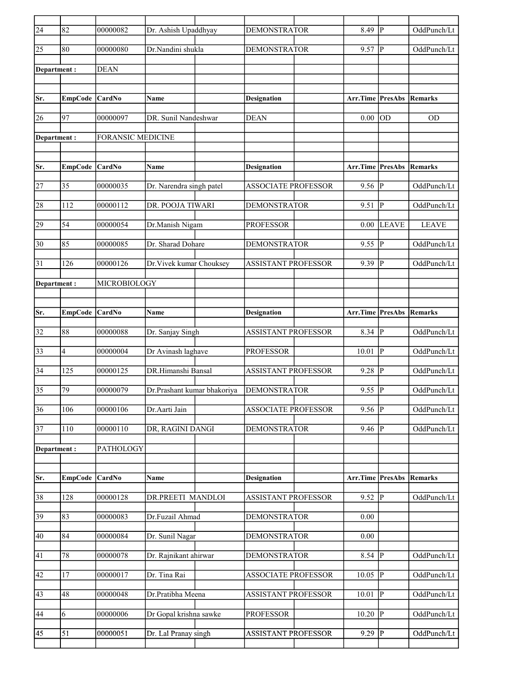| $\overline{24}$ | 82             | 00000082                 | Dr. Ashish Upaddhyay        | <b>DEMONSTRATOR</b>        | 8.49                     | lР                      | OddPunch/Lt  |
|-----------------|----------------|--------------------------|-----------------------------|----------------------------|--------------------------|-------------------------|--------------|
| 25              | 80             | 00000080                 | Dr.Nandini shukla           | <b>DEMONSTRATOR</b>        | 9.57                     | P                       | OddPunch/Lt  |
| Department:     |                | <b>DEAN</b>              |                             |                            |                          |                         |              |
|                 |                |                          |                             |                            |                          |                         |              |
| Sr.             | EmpCode CardNo |                          | Name                        | <b>Designation</b>         | Arr.Time PresAbs         |                         | Remarks      |
| 26              | 97             | 00000097                 | DR. Sunil Nandeshwar        | <b>DEAN</b>                | 0.00                     | <b>OD</b>               | <b>OD</b>    |
| Department:     |                | <b>FORANSIC MEDICINE</b> |                             |                            |                          |                         |              |
|                 |                |                          |                             |                            |                          |                         |              |
| Sr.             | EmpCode        | <b>CardNo</b>            | Name                        | Designation                | <b>Arr.Time PresAbs</b>  |                         | Remarks      |
| 27              | 35             | 00000035                 | Dr. Narendra singh patel    | <b>ASSOCIATE PROFESSOR</b> | $9.56$ $\overline{P}$    |                         | OddPunch/Lt  |
| 28              | 112            | 00000112                 | DR. POOJA TIWARI            | <b>DEMONSTRATOR</b>        | 9.51                     | $\overline{\mathbb{P}}$ | OddPunch/Lt  |
| 29              | 54             | 00000054                 | Dr.Manish Nigam             | <b>PROFESSOR</b>           | 0.00                     | <b>LEAVE</b>            | <b>LEAVE</b> |
| 30              | 85             | 00000085                 | Dr. Sharad Dohare           | <b>DEMONSTRATOR</b>        | 9.55                     | $ {\bf P} $             | OddPunch/Lt  |
| 31              | 126            | 00000126                 | Dr. Vivek kumar Chouksey    | <b>ASSISTANT PROFESSOR</b> | 9.39                     | P                       | OddPunch/Lt  |
| Department:     |                | MICROBIOLOGY             |                             |                            |                          |                         |              |
|                 |                |                          |                             |                            |                          |                         |              |
| Sr.             | EmpCode CardNo |                          | Name                        | <b>Designation</b>         | <b>Arr.Time PresAbs</b>  |                         | Remarks      |
| 32              | 88             | 00000088                 | Dr. Sanjay Singh            | <b>ASSISTANT PROFESSOR</b> | 8.34                     | P                       | OddPunch/Lt  |
| 33              | 4              | 00000004                 | Dr Avinash laghave          | <b>PROFESSOR</b>           | 10.01                    | ∣P                      | OddPunch/Lt  |
| 34              | 125            | 00000125                 | DR.Himanshi Bansal          | <b>ASSISTANT PROFESSOR</b> | 9.28                     | P                       | OddPunch/Lt  |
| 35              | 79             | 00000079                 | Dr.Prashant kumar bhakoriya | <b>DEMONSTRATOR</b>        | 9.55                     | P                       | OddPunch/Lt  |
| 36              | 106            | 00000106                 | Dr.Aarti Jain               | <b>ASSOCIATE PROFESSOR</b> | $9.56$ P                 |                         | OddPunch/Lt  |
| 37              | $110\,$        | 00000110                 | DR, RAGINI DANGI            | <b>DEMONSTRATOR</b>        | $9.46$ P                 |                         | OddPunch/Lt  |
| Department:     |                | PATHOLOGY                |                             |                            |                          |                         |              |
|                 |                |                          |                             |                            |                          |                         |              |
| Sr.             | <b>EmpCode</b> | CardNo                   | Name                        | <b>Designation</b>         | Arr.Time PresAbs         |                         | Remarks      |
| 38              | 128            | 00000128                 | DR.PREETI MANDLOI           | <b>ASSISTANT PROFESSOR</b> | $9.52$ P                 |                         | OddPunch/Lt  |
| 39              | 83             | 00000083                 | Dr.Fuzail Ahmad             | <b>DEMONSTRATOR</b>        | 0.00                     |                         |              |
| 40              | 84             | 00000084                 | Dr. Sunil Nagar             | <b>DEMONSTRATOR</b>        | 0.00                     |                         |              |
| 41              | 78             | 00000078                 | Dr. Rajnikant ahirwar       | <b>DEMONSTRATOR</b>        | 8.54 P                   |                         | OddPunch/Lt  |
| 42              | 17             | 00000017                 | Dr. Tina Rai                | <b>ASSOCIATE PROFESSOR</b> | $10.05$ $ \overline{P} $ |                         | OddPunch/Lt  |
| 43              | 48             | 00000048                 | Dr.Pratibha Meena           | <b>ASSISTANT PROFESSOR</b> | 10.01                    | P                       | OddPunch/Lt  |
| 44              | 6              | 00000006                 | Dr Gopal krishna sawke      | <b>PROFESSOR</b>           | 10.20                    | P                       | OddPunch/Lt  |
| 45              | 51             | 00000051                 | Dr. Lal Pranay singh        | ASSISTANT PROFESSOR        | $9.29$ P                 |                         | OddPunch/Lt  |
|                 |                |                          |                             |                            |                          |                         |              |